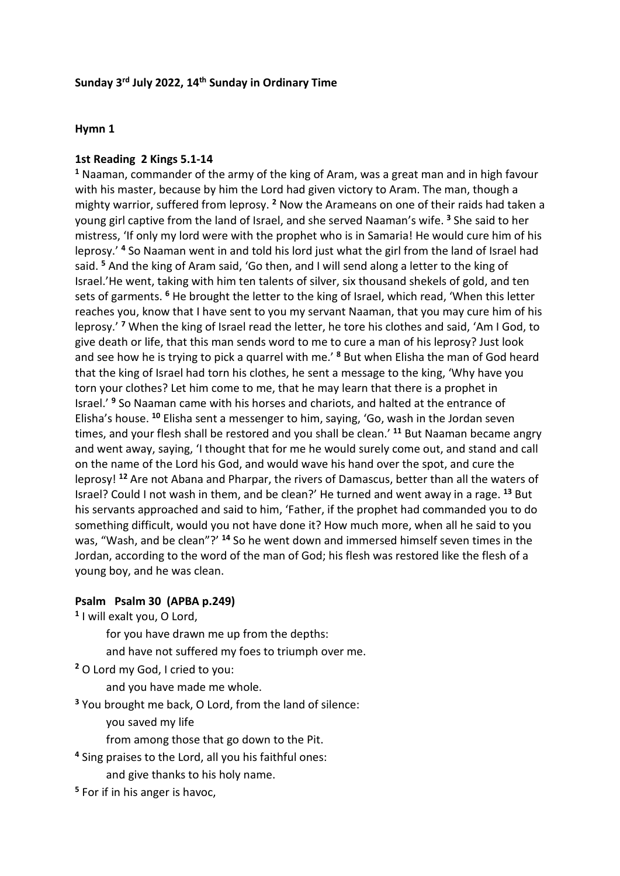### **Sunday 3rd July 2022, 14th Sunday in Ordinary Time**

#### **Hymn 1**

#### **1st Reading 2 Kings 5.1-14**

**<sup>1</sup>** Naaman, commander of the army of the king of Aram, was a great man and in high favour with his master, because by him the Lord had given victory to Aram. The man, though a mighty warrior, suffered from leprosy. **<sup>2</sup>** Now the Arameans on one of their raids had taken a young girl captive from the land of Israel, and she served Naaman's wife. **<sup>3</sup>** She said to her mistress, 'If only my lord were with the prophet who is in Samaria! He would cure him of his leprosy.' **<sup>4</sup>** So Naaman went in and told his lord just what the girl from the land of Israel had said. **<sup>5</sup>** And the king of Aram said, 'Go then, and I will send along a letter to the king of Israel.'He went, taking with him ten talents of silver, six thousand shekels of gold, and ten sets of garments. **<sup>6</sup>** He brought the letter to the king of Israel, which read, 'When this letter reaches you, know that I have sent to you my servant Naaman, that you may cure him of his leprosy.' **<sup>7</sup>** When the king of Israel read the letter, he tore his clothes and said, 'Am I God, to give death or life, that this man sends word to me to cure a man of his leprosy? Just look and see how he is trying to pick a quarrel with me.' **<sup>8</sup>** But when Elisha the man of God heard that the king of Israel had torn his clothes, he sent a message to the king, 'Why have you torn your clothes? Let him come to me, that he may learn that there is a prophet in Israel.' **<sup>9</sup>** So Naaman came with his horses and chariots, and halted at the entrance of Elisha's house. **<sup>10</sup>** Elisha sent a messenger to him, saying, 'Go, wash in the Jordan seven times, and your flesh shall be restored and you shall be clean.' **<sup>11</sup>** But Naaman became angry and went away, saying, 'I thought that for me he would surely come out, and stand and call on the name of the Lord his God, and would wave his hand over the spot, and cure the leprosy! **<sup>12</sup>** Are not Abana and Pharpar, the rivers of Damascus, better than all the waters of Israel? Could I not wash in them, and be clean?' He turned and went away in a rage. **<sup>13</sup>** But his servants approached and said to him, 'Father, if the prophet had commanded you to do something difficult, would you not have done it? How much more, when all he said to you was, "Wash, and be clean"?' **<sup>14</sup>** So he went down and immersed himself seven times in the Jordan, according to the word of the man of God; his flesh was restored like the flesh of a young boy, and he was clean.

### **Psalm Psalm 30 (APBA p.249)**

**<sup>1</sup>** I will exalt you, O Lord,

for you have drawn me up from the depths:

- and have not suffered my foes to triumph over me.
- **<sup>2</sup>** O Lord my God, I cried to you:

and you have made me whole.

- **<sup>3</sup>** You brought me back, O Lord, from the land of silence:
	- you saved my life
	- from among those that go down to the Pit.
- **<sup>4</sup>** Sing praises to the Lord, all you his faithful ones:
	- and give thanks to his holy name.
- **<sup>5</sup>** For if in his anger is havoc,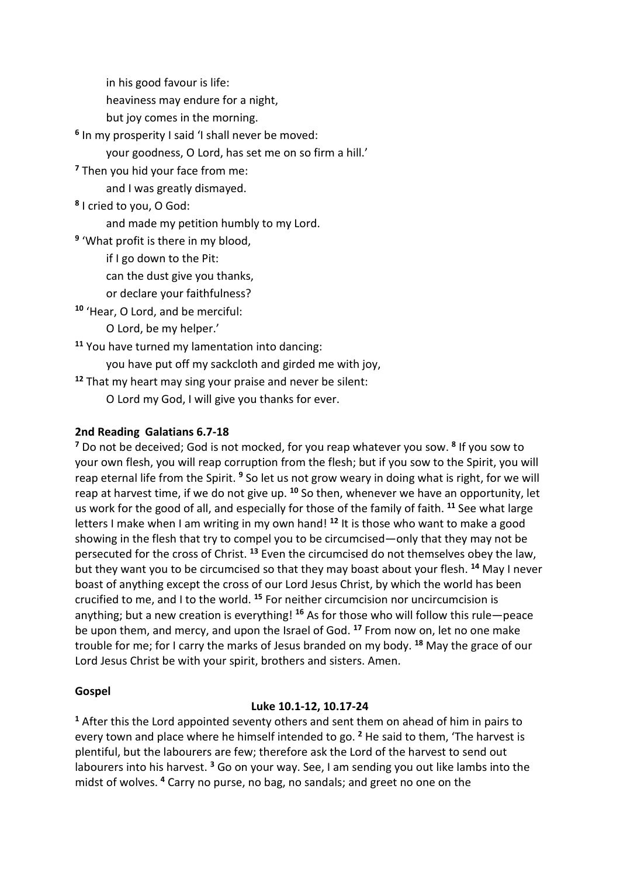in his good favour is life:

heaviness may endure for a night,

but joy comes in the morning.

**<sup>6</sup>** In my prosperity I said 'I shall never be moved:

your goodness, O Lord, has set me on so firm a hill.'

**<sup>7</sup>** Then you hid your face from me:

and I was greatly dismayed.

**<sup>8</sup>** I cried to you, O God:

and made my petition humbly to my Lord.

**<sup>9</sup>** 'What profit is there in my blood,

if I go down to the Pit:

can the dust give you thanks,

or declare your faithfulness?

**<sup>10</sup>** 'Hear, O Lord, and be merciful:

O Lord, be my helper.'

**<sup>11</sup>** You have turned my lamentation into dancing:

you have put off my sackcloth and girded me with joy,

**<sup>12</sup>** That my heart may sing your praise and never be silent:

O Lord my God, I will give you thanks for ever.

# **2nd Reading Galatians 6.7-18**

**<sup>7</sup>** Do not be deceived; God is not mocked, for you reap whatever you sow. **<sup>8</sup>** If you sow to your own flesh, you will reap corruption from the flesh; but if you sow to the Spirit, you will reap eternal life from the Spirit. **<sup>9</sup>** So let us not grow weary in doing what is right, for we will reap at harvest time, if we do not give up. **<sup>10</sup>** So then, whenever we have an opportunity, let us work for the good of all, and especially for those of the family of faith. **<sup>11</sup>** See what large letters I make when I am writing in my own hand!<sup>12</sup> It is those who want to make a good showing in the flesh that try to compel you to be circumcised—only that they may not be persecuted for the cross of Christ. **<sup>13</sup>** Even the circumcised do not themselves obey the law, but they want you to be circumcised so that they may boast about your flesh. **<sup>14</sup>** May I never boast of anything except the cross of our Lord Jesus Christ, by which the world has been crucified to me, and I to the world. **<sup>15</sup>** For neither circumcision nor uncircumcision is anything; but a new creation is everything! <sup>16</sup> As for those who will follow this rule—peace be upon them, and mercy, and upon the Israel of God. **<sup>17</sup>** From now on, let no one make trouble for me; for I carry the marks of Jesus branded on my body. **<sup>18</sup>** May the grace of our Lord Jesus Christ be with your spirit, brothers and sisters. Amen.

## **Gospel**

## **Luke 10.1-12, 10.17-24**

**<sup>1</sup>** After this the Lord appointed seventy others and sent them on ahead of him in pairs to every town and place where he himself intended to go. **<sup>2</sup>** He said to them, 'The harvest is plentiful, but the labourers are few; therefore ask the Lord of the harvest to send out labourers into his harvest. **<sup>3</sup>** Go on your way. See, I am sending you out like lambs into the midst of wolves. **<sup>4</sup>** Carry no purse, no bag, no sandals; and greet no one on the